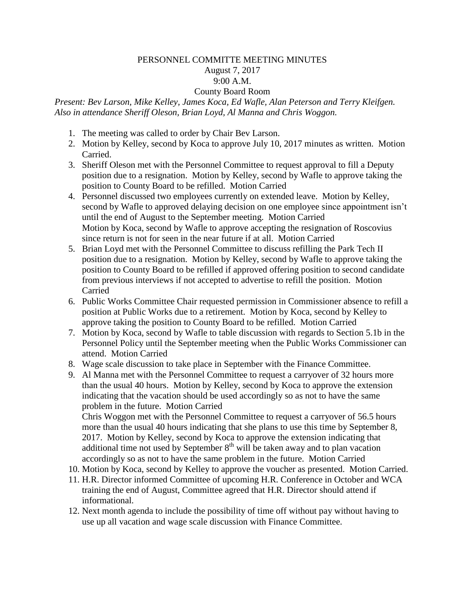## PERSONNEL COMMITTE MEETING MINUTES

## August 7, 2017 9:00 A.M.

## County Board Room

*Present: Bev Larson, Mike Kelley, James Koca, Ed Wafle, Alan Peterson and Terry Kleifgen. Also in attendance Sheriff Oleson, Brian Loyd, Al Manna and Chris Woggon.*

- 1. The meeting was called to order by Chair Bev Larson.
- 2. Motion by Kelley, second by Koca to approve July 10, 2017 minutes as written. Motion Carried.
- 3. Sheriff Oleson met with the Personnel Committee to request approval to fill a Deputy position due to a resignation. Motion by Kelley, second by Wafle to approve taking the position to County Board to be refilled. Motion Carried
- 4. Personnel discussed two employees currently on extended leave. Motion by Kelley, second by Wafle to approved delaying decision on one employee since appointment isn't until the end of August to the September meeting. Motion Carried Motion by Koca, second by Wafle to approve accepting the resignation of Roscovius since return is not for seen in the near future if at all. Motion Carried
- 5. Brian Loyd met with the Personnel Committee to discuss refilling the Park Tech II position due to a resignation. Motion by Kelley, second by Wafle to approve taking the position to County Board to be refilled if approved offering position to second candidate from previous interviews if not accepted to advertise to refill the position. Motion Carried
- 6. Public Works Committee Chair requested permission in Commissioner absence to refill a position at Public Works due to a retirement. Motion by Koca, second by Kelley to approve taking the position to County Board to be refilled. Motion Carried
- 7. Motion by Koca, second by Wafle to table discussion with regards to Section 5.1b in the Personnel Policy until the September meeting when the Public Works Commissioner can attend. Motion Carried
- 8. Wage scale discussion to take place in September with the Finance Committee.
- 9. Al Manna met with the Personnel Committee to request a carryover of 32 hours more than the usual 40 hours. Motion by Kelley, second by Koca to approve the extension indicating that the vacation should be used accordingly so as not to have the same problem in the future. Motion Carried

Chris Woggon met with the Personnel Committee to request a carryover of 56.5 hours more than the usual 40 hours indicating that she plans to use this time by September 8, 2017. Motion by Kelley, second by Koca to approve the extension indicating that additional time not used by September  $8<sup>th</sup>$  will be taken away and to plan vacation accordingly so as not to have the same problem in the future. Motion Carried

- 10. Motion by Koca, second by Kelley to approve the voucher as presented. Motion Carried.
- 11. H.R. Director informed Committee of upcoming H.R. Conference in October and WCA training the end of August, Committee agreed that H.R. Director should attend if informational.
- 12. Next month agenda to include the possibility of time off without pay without having to use up all vacation and wage scale discussion with Finance Committee.